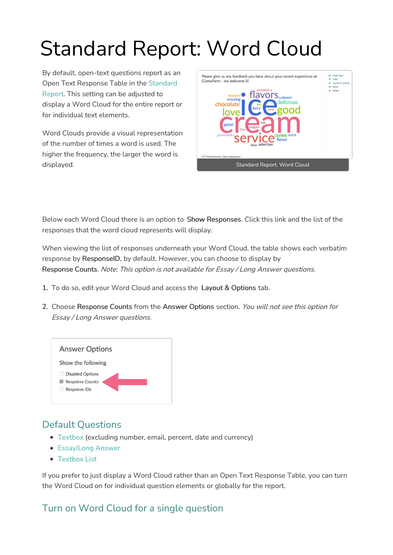# Standard Report: Word Cloud

By default, open-text questions report as an Open Text [Response](http://help.alchemer.com/help/standard-report) Table in the Standard Report. This setting can be adjusted to display a Word Cloud for the entire report or for individual text elements.

Word Clouds provide a visual representation of the number of times a word is used. The higher the frequency, the larger the word is displayed.



Below each Word Cloud there is an option to Show Responses. Click this link and the list of the responses that the word cloud represents will display.

When viewing the list of responses underneath your Word Cloud, the table shows each verbatim response by ResponseID, by default. However, you can choose to display by Response Counts. Note: This option is not available for Essay / Long Answer questions.

- 1. To do so, edit your Word Cloud and access the Layout & Options tab.
- 2. Choose Response Counts from the Answer Options section. You will not see this option for Essay / Long Answer questions.



## Default Questions

- [Textbox](http://help.alchemer.com/help/textbox) (excluding number, email, percent, date and currency)
- **[Essay/Long](http://help.alchemer.com/help/essay) Answer**
- [Textbox](http://help.alchemer.com/help/textbox-list) List

If you prefer to just display a Word Cloud rather than an Open Text Response Table, you can turn the Word Cloud on for individual question elements or globally for the report.

## Turn on Word Cloud for a single question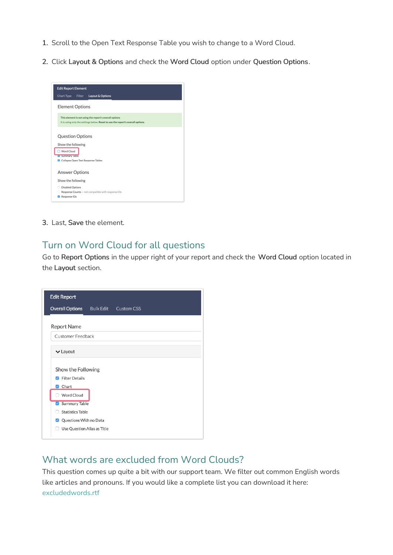- 1. Scroll to the Open Text Response Table you wish to change to a Word Cloud.
- 2. Click Layout & Options and check the Word Cloud option under Question Options.

| <b>Edit Report Element</b>         |               |                                                                                                                                           |  |
|------------------------------------|---------------|-------------------------------------------------------------------------------------------------------------------------------------------|--|
| <b>Chart Type</b>                  | <b>Filter</b> | Layout & Options                                                                                                                          |  |
| <b>Element Options</b>             |               |                                                                                                                                           |  |
|                                    |               | This element is not using the report's overall options<br>It is using only the settings below. Reset to use the report's overall options. |  |
| <b>Question Options</b>            |               |                                                                                                                                           |  |
| Show the following                 |               |                                                                                                                                           |  |
| Word Cloud<br>V Summary lable      |               |                                                                                                                                           |  |
| Collapse Open Text Response Tables |               |                                                                                                                                           |  |
| <b>Answer Options</b>              |               |                                                                                                                                           |  |
| Show the following                 |               |                                                                                                                                           |  |
| <b>Disabled Options</b><br>п       |               |                                                                                                                                           |  |
|                                    |               | Response Counts - not compatible with response IDs                                                                                        |  |
| Response IDs<br>ø                  |               |                                                                                                                                           |  |

3. Last, Save the element.

#### Turn on Word Cloud for all questions

Go to Report Options in the upper right of your report and check the Word Cloud option located in the Layout section.



#### What words are excluded from Word Clouds?

This question comes up quite a bit with our support team. We filter out common English words like articles and pronouns. If you would like a complete list you can download it here: [excludedwords.rtf](https://dyzz9obi78pm5.cloudfront.net/app/image/id/572919b091121cda6fc15b36/n/excludedwords.rtf)